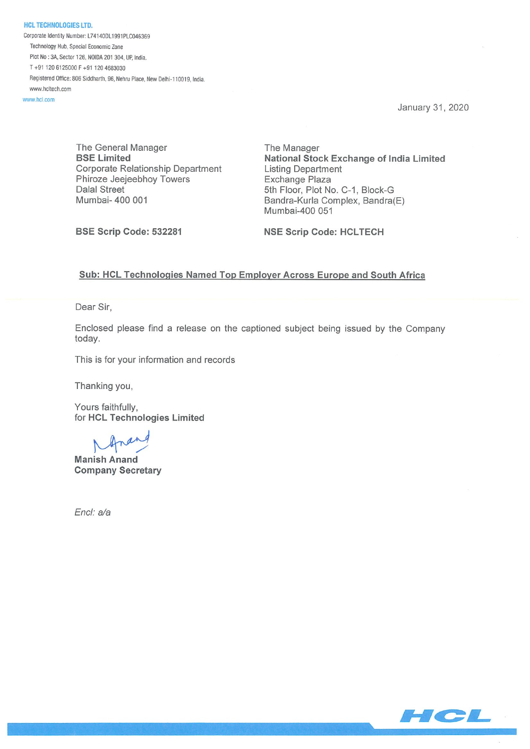HCL TECHNOLOGIES LTD. Corporate Identity Number: L74140DL1991PLC046369 Technology Hub, Special Economic Zone Plot No: JA, Sector 126, NOIDA 201 304, UP, India. T +91 120 6125000 F +91 120 4683030 Registered Office: 806 Siddharth, 96, Nehru Place, New Delhi-110019, India. www.hcltech.com

www.hcl.com

January 31, 2020

The General Manager The Manager Corporate Relationship Department Listing Department Phiroze Jeejeebhoy Towers **Exchange Plaza** Dalal Street 5th Floor, Plot No. C-1, Block-G Mumbai- 400 001 **Bandra-Kurla Complex, Bandra**(E)

BSE Limited National Stock Exchange of India Limited Mumbai-400 051

BSE Scrip Code: 532281 NSE Scrip Code: HCLTECH

## Sub: HCL Technologies Named Top Employer Across Europe and South Africa

Dear Sir,

Enclosed please find a release on the captioned subject being issued by the Company today.

This is for your information and records

Thanking you,

Yours faithfully, for HCL Technologies Limited

Manish Anand Company Secretary

End: a/a

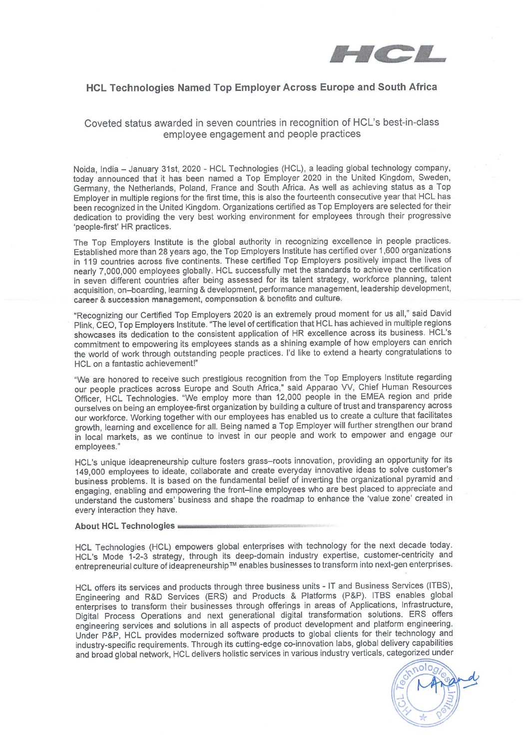

# HCL Technologies Named Top Employer Across Europe and South Africa

Coveted status awarded in seven countries in recognition of HCL's best-in-class employee engagement and people practices

Noida, India — January 31st, 2020 - HCL Technologies (HCL), a leading global technology company, today announced that it has been named a Top Employer 2020 in the United Kingdom, Sweden, Germany, the Netherlands, Poland, France and South Africa. As well as achieving status as a Top Employer in multiple regions for the first time, this is also the fourteenth consecutive year that HCL has been recognized in the United Kingdom. Organizations certified as Top Employers are selected for their dedication to providing the very best working environment for employees through their progressive 'people-first' HR practices.

The Top Employers Institute is the global authority in recognizing excellence in people practices. Established more than 28 years ago, the Top Employers Institute has certified over 1,600 organizations in 119 countries across five continents. These certified Top Employers positively impact the lives of nearly 7,000,000 employees globally. HCL successfully met the standards to achieve the certification in seven different countries after being assessed for its talent strategy, workforce planning, talent acquisition, on—boarding, learning & development, performance management, leadership development, career & succession management, compensation & benefits and culture.

"Recognizing our Certified Top Employers 2020 is an extremely proud moment for us all," said David Plink, CEO, Top Employers Institute. "The level of certification that HCL has achieved in multiple regions showcases its dedication to the consistent application of HR excellence across its business. HCL's commitment to empowering its employees stands as a shining example of how employers can enrich the world of work through outstanding people practices. I'd like to extend a hearty congratulations to HCL on a fantastic achievement!"

"We are honored to receive such prestigious recognition from the Top Employers Institute regarding our people practices across Europe and South Africa," said Apparao VV, Chief Human Resources Officer, HCL Technologies. "We employ more than 12,000 people in the EMEA region and pride ourselves on being an employee-first organization by building a culture of trust and transparency across our workforce. Working together with our employees has enabled us to create a culture that facilitates growth, learning and excellence for all. Being named a Top Employer will further strengthen our brand in local markets, as we continue to invest in our people and work to empower and engage our employees."

HCL's unique ideapreneurship culture fosters grass—roots innovation, providing an opportunity for its 149,000 employees to ideate, collaborate and create everyday innovative ideas to solve customer's business problems. It is based on the fundamental belief of inverting the organizational pyramid and engaging, enabling and empowering the front—line employees who are best placed to appreciate and understand the customers' business and shape the roadmap to enhance the 'value zone' created in every interaction they have.

### About HCL Technologies

HCL Technologies (HCL) empowers global enterprises with technology for the next decade today. HCL's Mode 1-2-3 strategy, through its deep-domain industry expertise, customer-centricity and entrepreneurial culture of ideapreneurship™ enables businesses to transform into next-gen enterprises.

HCL offers its services and products through three business units - IT and Business Services (ITBS), Engineering and R&D Services (ERS) and Products & Platforms (P&P). ITBS enables global enterprises to transform their businesses through offerings in areas of Applications, Infrastructure, Digital Process Operations and next generational digital transformation solutions. ERS offers engineering services and solutions in all aspects of product development and platform engineering. Under P&P, HCL provides modernized software products to global clients for their technology and industry-specific requirements. Through its cutting-edge co-innovation labs, global delivery capabilities and broad global network, HCL delivers holistic services in various industry verticals, categorized under